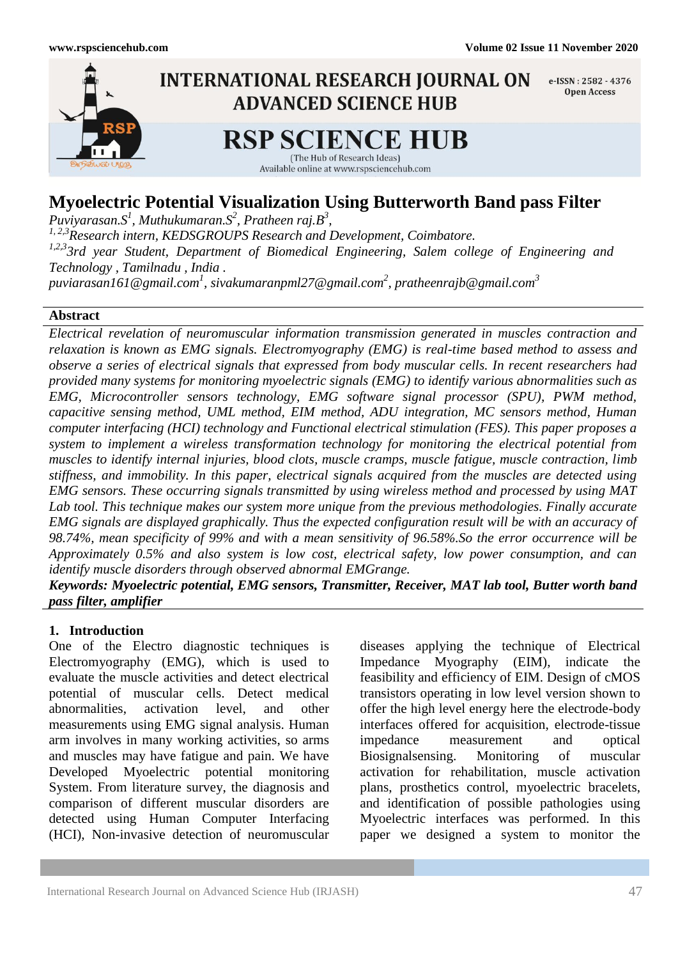

# **Myoelectric Potential Visualization Using Butterworth Band pass Filter**

*Puviyarasan.S<sup>1</sup> , Muthukumaran.S<sup>2</sup> , Pratheen raj.B<sup>3</sup> , 1, 2,3Research intern, KEDSGROUPS Research and Development, Coimbatore. 1,2,33rd year Student, Department of Biomedical Engineering, Salem college of Engineering and Technology , Tamilnadu , India . [puviarasan161@gmail.com](mailto:puviarasan161@gmail.com)<sup>1</sup> , [sivakumaranpml27@gmail.com](mailto:sivakumaranpml27@gmail.com)<sup>2</sup> , [pratheenrajb@gmail.com](mailto:pratheenrajb@gmail.com)<sup>3</sup>*

### **Abstract**

*Electrical revelation of neuromuscular information transmission generated in muscles contraction and relaxation is known as EMG signals. Electromyography (EMG) is real-time based method to assess and observe a series of electrical signals that expressed from body muscular cells. In recent researchers had provided many systems for monitoring myoelectric signals (EMG) to identify various abnormalities such as EMG, Microcontroller sensors technology, EMG software signal processor (SPU), PWM method, capacitive sensing method, UML method, EIM method, ADU integration, MC sensors method, Human computer interfacing (HCI) technology and Functional electrical stimulation (FES). This paper proposes a system to implement a wireless transformation technology for monitoring the electrical potential from muscles to identify internal injuries, blood clots, muscle cramps, muscle fatigue, muscle contraction, limb stiffness, and immobility. In this paper, electrical signals acquired from the muscles are detected using EMG sensors. These occurring signals transmitted by using wireless method and processed by using MAT Lab tool. This technique makes our system more unique from the previous methodologies. Finally accurate EMG signals are displayed graphically. Thus the expected configuration result will be with an accuracy of 98.74%, mean specificity of 99% and with a mean sensitivity of 96.58%.So the error occurrence will be Approximately 0.5% and also system is low cost, electrical safety, low power consumption, and can identify muscle disorders through observed abnormal EMGrange.*

*Keywords: Myoelectric potential, EMG sensors, Transmitter, Receiver, MAT lab tool, Butter worth band pass filter, amplifier*

## **1. Introduction**

One of the Electro diagnostic techniques is Electromyography (EMG), which is used to evaluate the muscle activities and detect electrical potential of muscular cells. Detect medical abnormalities, activation level, and other measurements using EMG signal analysis. Human arm involves in many working activities, so arms and muscles may have fatigue and pain. We have Developed Myoelectric potential monitoring System. From literature survey, the diagnosis and comparison of different muscular disorders are detected using Human Computer Interfacing (HCI), Non-invasive detection of neuromuscular

diseases applying the technique of Electrical Impedance Myography (EIM), indicate the feasibility and efficiency of EIM. Design of cMOS transistors operating in low level version shown to offer the high level energy here the electrode-body interfaces offered for acquisition, electrode-tissue impedance measurement and optical Biosignalsensing. Monitoring of muscular activation for rehabilitation, muscle activation plans, prosthetics control, myoelectric bracelets, and identification of possible pathologies using Myoelectric interfaces was performed. In this paper we designed a system to monitor the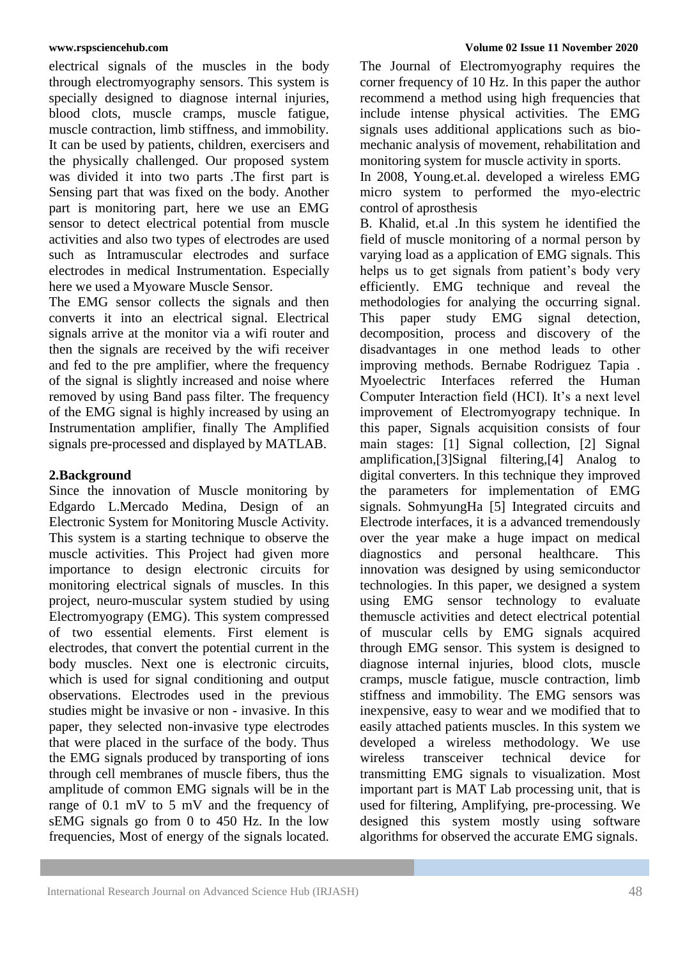electrical signals of the muscles in the body through electromyography sensors. This system is specially designed to diagnose internal injuries, blood clots, muscle cramps, muscle fatigue, muscle contraction, limb stiffness, and immobility. It can be used by patients, children, exercisers and the physically challenged. Our proposed system was divided it into two parts .The first part is Sensing part that was fixed on the body. Another part is monitoring part, here we use an EMG sensor to detect electrical potential from muscle activities and also two types of electrodes are used such as Intramuscular electrodes and surface electrodes in medical Instrumentation. Especially here we used a Myoware Muscle Sensor.

The EMG sensor collects the signals and then converts it into an electrical signal. Electrical signals arrive at the monitor via a wifi router and then the signals are received by the wifi receiver and fed to the pre amplifier, where the frequency of the signal is slightly increased and noise where removed by using Band pass filter. The frequency of the EMG signal is highly increased by using an Instrumentation amplifier, finally The Amplified signals pre-processed and displayed by MATLAB.

## **2.Background**

Since the innovation of Muscle monitoring by Edgardo L.Mercado Medina, Design of an Electronic System for Monitoring Muscle Activity. This system is a starting technique to observe the muscle activities. This Project had given more importance to design electronic circuits for monitoring electrical signals of muscles. In this project, neuro-muscular system studied by using Electromyograpy (EMG). This system compressed of two essential elements. First element is electrodes, that convert the potential current in the body muscles. Next one is electronic circuits, which is used for signal conditioning and output observations. Electrodes used in the previous studies might be invasive or non - invasive. In this paper, they selected non-invasive type electrodes that were placed in the surface of the body. Thus the EMG signals produced by transporting of ions through cell membranes of muscle fibers, thus the amplitude of common EMG signals will be in the range of 0.1 mV to 5 mV and the frequency of sEMG signals go from 0 to 450 Hz. In the low frequencies, Most of energy of the signals located.

The Journal of Electromyography requires the corner frequency of 10 Hz. In this paper the author recommend a method using high frequencies that include intense physical activities. The EMG signals uses additional applications such as biomechanic analysis of movement, rehabilitation and monitoring system for muscle activity in sports.

In 2008, Young.et.al. developed a wireless EMG micro system to performed the myo-electric control of aprosthesis

B. Khalid, et.al .In this system he identified the field of muscle monitoring of a normal person by varying load as a application of EMG signals. This helps us to get signals from patient's body very efficiently. EMG technique and reveal the methodologies for analying the occurring signal. This paper study EMG signal detection, decomposition, process and discovery of the disadvantages in one method leads to other improving methods. Bernabe Rodriguez Tapia . Myoelectric Interfaces referred the Human Computer Interaction field (HCI). It's a next level improvement of Electromyograpy technique. In this paper, Signals acquisition consists of four main stages: [1] Signal collection, [2] Signal amplification,[3]Signal filtering,[4] Analog to digital converters. In this technique they improved the parameters for implementation of EMG signals. SohmyungHa [5] Integrated circuits and Electrode interfaces, it is a advanced tremendously over the year make a huge impact on medical diagnostics and personal healthcare. This innovation was designed by using semiconductor technologies. In this paper, we designed a system using EMG sensor technology to evaluate themuscle activities and detect electrical potential of muscular cells by EMG signals acquired through EMG sensor. This system is designed to diagnose internal injuries, blood clots, muscle cramps, muscle fatigue, muscle contraction, limb stiffness and immobility. The EMG sensors was inexpensive, easy to wear and we modified that to easily attached patients muscles. In this system we developed a wireless methodology. We use wireless transceiver technical device for transmitting EMG signals to visualization. Most important part is MAT Lab processing unit, that is used for filtering, Amplifying, pre-processing. We designed this system mostly using software algorithms for observed the accurate EMG signals.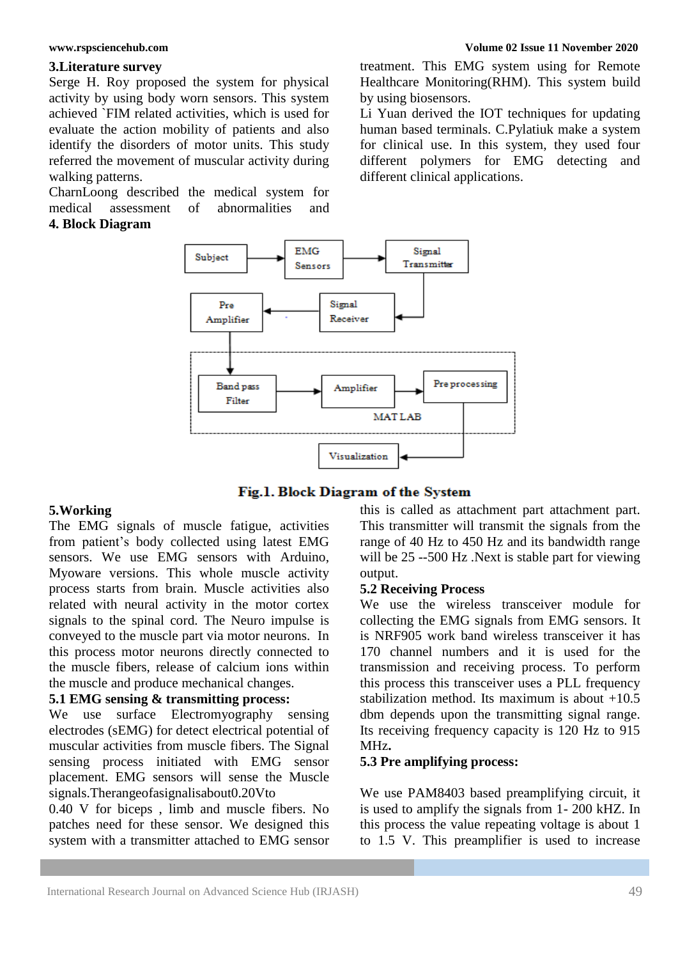### **3.Literature survey**

Serge H. Roy proposed the system for physical activity by using body worn sensors. This system achieved `FIM related activities, which is used for evaluate the action mobility of patients and also identify the disorders of motor units. This study referred the movement of muscular activity during walking patterns.

CharnLoong described the medical system for medical assessment of abnormalities and

## **4. Block Diagram**

treatment. This EMG system using for Remote Healthcare Monitoring(RHM). This system build by using biosensors.

Li Yuan derived the IOT techniques for updating human based terminals. C.Pylatiuk make a system for clinical use. In this system, they used four different polymers for EMG detecting and different clinical applications.



### Fig.1. Block Diagram of the System

### **5.Working**

The EMG signals of muscle fatigue, activities from patient's body collected using latest EMG sensors. We use EMG sensors with Arduino, Myoware versions. This whole muscle activity process starts from brain. Muscle activities also related with neural activity in the motor cortex signals to the spinal cord. The Neuro impulse is conveyed to the muscle part via motor neurons. In this process motor neurons directly connected to the muscle fibers, release of calcium ions within the muscle and produce mechanical changes.

## **5.1 EMG sensing & transmitting process:**

We use surface Electromyography sensing electrodes (sEMG) for detect electrical potential of muscular activities from muscle fibers. The Signal sensing process initiated with EMG sensor placement. EMG sensors will sense the Muscle signals.Therangeofasignalisabout0.20Vto

0.40 V for biceps , limb and muscle fibers. No patches need for these sensor. We designed this system with a transmitter attached to EMG sensor this is called as attachment part attachment part. This transmitter will transmit the signals from the range of 40 Hz to 450 Hz and its bandwidth range will be 25 --500 Hz. Next is stable part for viewing output.

### **5.2 Receiving Process**

We use the wireless transceiver module for collecting the EMG signals from EMG sensors. It is NRF905 work band wireless transceiver it has 170 channel numbers and it is used for the transmission and receiving process. To perform this process this transceiver uses a PLL frequency stabilization method. Its maximum is about  $+10.5$ dbm depends upon the transmitting signal range. Its receiving frequency capacity is 120 Hz to 915 MHz**.**

### **5.3 Pre amplifying process:**

We use PAM8403 based preamplifying circuit, it is used to amplify the signals from 1- 200 kHZ. In this process the value repeating voltage is about 1 to 1.5 V. This preamplifier is used to increase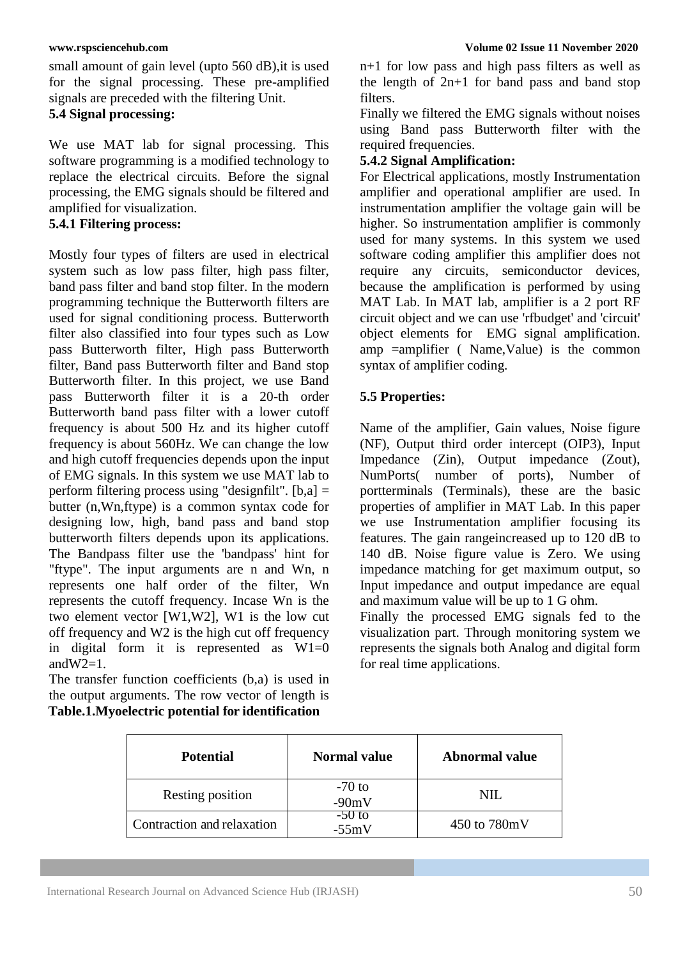small amount of gain level (upto 560 dB), it is used for the signal processing. These pre-amplified signals are preceded with the filtering Unit.

## **5.4 Signal processing:**

We use MAT lab for signal processing. This software programming is a modified technology to replace the electrical circuits. Before the signal processing, the EMG signals should be filtered and amplified for visualization.

## **5.4.1 Filtering process:**

Mostly four types of filters are used in electrical system such as low pass filter, high pass filter, band pass filter and band stop filter. In the modern programming technique the Butterworth filters are used for signal conditioning process. Butterworth filter also classified into four types such as Low pass Butterworth filter, High pass Butterworth filter, Band pass Butterworth filter and Band stop Butterworth filter. In this project, we use Band pass Butterworth filter it is a 20-th order Butterworth band pass filter with a lower cutoff frequency is about 500 Hz and its higher cutoff frequency is about 560Hz. We can change the low and high cutoff frequencies depends upon the input of EMG signals. In this system we use MAT lab to perform filtering process using "designfilt".  $[b,a] =$ butter (n,Wn,ftype) is a common syntax code for designing low, high, band pass and band stop butterworth filters depends upon its applications. The Bandpass filter use the 'bandpass' hint for "ftype". The input arguments are n and Wn, n represents one half order of the filter, Wn represents the cutoff frequency. Incase Wn is the two element vector [W1,W2], W1 is the low cut off frequency and W2 is the high cut off frequency in digital form it is represented as  $W1=0$ and  $W2=1$ .

The transfer function coefficients (b,a) is used in the output arguments. The row vector of length is **Table.1.Myoelectric potential for identification**

n+1 for low pass and high pass filters as well as the length of  $2n+1$  for band pass and band stop filters.

Finally we filtered the EMG signals without noises using Band pass Butterworth filter with the required frequencies.

## **5.4.2 Signal Amplification:**

For Electrical applications, mostly Instrumentation amplifier and operational amplifier are used. In instrumentation amplifier the voltage gain will be higher. So instrumentation amplifier is commonly used for many systems. In this system we used software coding amplifier this amplifier does not require any circuits, semiconductor devices, because the amplification is performed by using MAT Lab. In MAT lab, amplifier is a 2 port RF circuit object and we can use 'rfbudget' and 'circuit' object elements for EMG signal amplification. amp =amplifier ( Name,Value) is the common syntax of amplifier coding.

## **5.5 Properties:**

Name of the amplifier, Gain values, Noise figure (NF), Output third order intercept (OIP3), Input Impedance (Zin), Output impedance (Zout), NumPorts( number of ports), Number of portterminals (Terminals), these are the basic properties of amplifier in MAT Lab. In this paper we use Instrumentation amplifier focusing its features. The gain rangeincreased up to 120 dB to 140 dB. Noise figure value is Zero. We using impedance matching for get maximum output, so Input impedance and output impedance are equal and maximum value will be up to 1 G ohm.

Finally the processed EMG signals fed to the visualization part. Through monitoring system we represents the signals both Analog and digital form for real time applications.

| <b>Potential</b>           | <b>Normal value</b> | <b>Abnormal value</b> |
|----------------------------|---------------------|-----------------------|
| Resting position           | $-70$ to<br>$-90mV$ | NIL.                  |
| Contraction and relaxation | $-50$ to<br>$-55mV$ | 450 to 780mV          |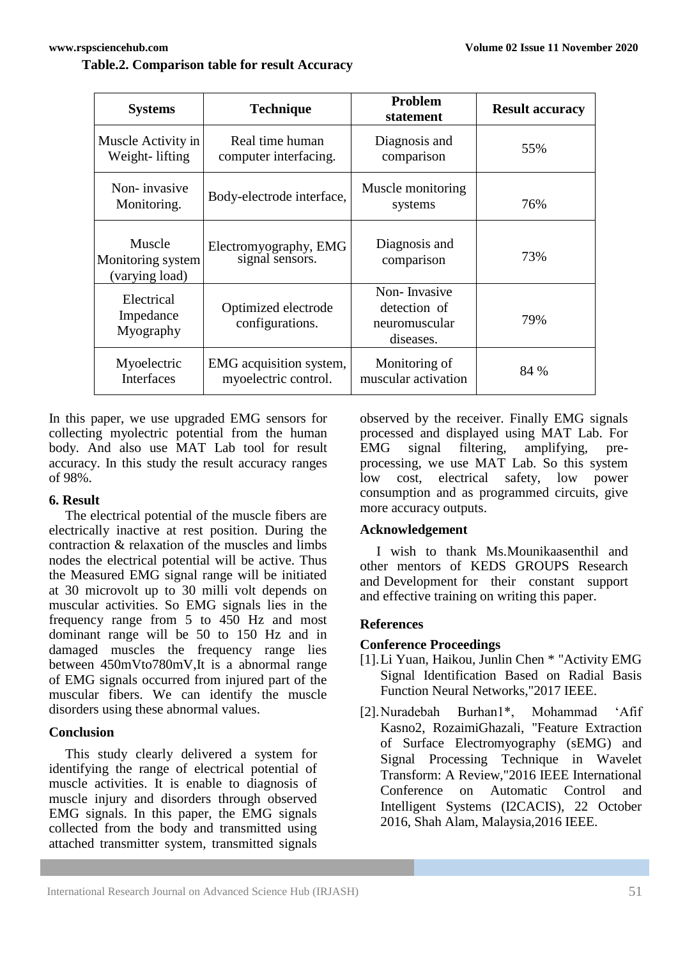# **Table.2. Comparison table for result Accuracy**

| <b>Systems</b>                                | <b>Technique</b>                                | <b>Problem</b><br>statement                                | <b>Result accuracy</b> |
|-----------------------------------------------|-------------------------------------------------|------------------------------------------------------------|------------------------|
| Muscle Activity in<br>Weight-lifting          | Real time human<br>computer interfacing.        | Diagnosis and<br>comparison                                | 55%                    |
| Non-invasive<br>Monitoring.                   | Body-electrode interface,                       | Muscle monitoring<br>systems                               | 76%                    |
| Muscle<br>Monitoring system<br>(varying load) | Electromyography, EMG<br>signal sensors.        | Diagnosis and<br>comparison                                | 73%                    |
| Electrical<br>Impedance<br>Myography          | Optimized electrode<br>configurations.          | Non-Invasive<br>detection of<br>neuromuscular<br>diseases. | 79%                    |
| Myoelectric<br>Interfaces                     | EMG acquisition system,<br>myoelectric control. | Monitoring of<br>muscular activation                       | 84 %                   |

In this paper, we use upgraded EMG sensors for collecting myolectric potential from the human body. And also use MAT Lab tool for result accuracy. In this study the result accuracy ranges of 98%.

## **6. Result**

The electrical potential of the muscle fibers are electrically inactive at rest position. During the contraction & relaxation of the muscles and limbs nodes the electrical potential will be active. Thus the Measured EMG signal range will be initiated at 30 microvolt up to 30 milli volt depends on muscular activities. So EMG signals lies in the frequency range from 5 to 450 Hz and most dominant range will be 50 to 150 Hz and in damaged muscles the frequency range lies between 450mVto780mV,It is a abnormal range of EMG signals occurred from injured part of the muscular fibers. We can identify the muscle disorders using these abnormal values.

## **Conclusion**

This study clearly delivered a system for identifying the range of electrical potential of muscle activities. It is enable to diagnosis of muscle injury and disorders through observed EMG signals. In this paper, the EMG signals collected from the body and transmitted using attached transmitter system, transmitted signals

observed by the receiver. Finally EMG signals processed and displayed using MAT Lab. For EMG signal filtering, amplifying, preprocessing, we use MAT Lab. So this system low cost, electrical safety, low power consumption and as programmed circuits, give more accuracy outputs.

## **Acknowledgement**

I wish to thank Ms.Mounikaasenthil and other mentors of KEDS GROUPS Research and Development for their constant support and effective training on writing this paper.

## **References**

## **Conference Proceedings**

- [1].Li Yuan, Haikou, Junlin Chen \* "Activity EMG Signal Identification Based on Radial Basis Function Neural Networks,"2017 IEEE.
- [2].Nuradebah Burhan1\*, Mohammad 'Afif Kasno2, RozaimiGhazali, "Feature Extraction of Surface Electromyography (sEMG) and Signal Processing Technique in Wavelet Transform: A Review,"2016 IEEE International Conference on Automatic Control and Intelligent Systems (I2CACIS), 22 October 2016, Shah Alam, Malaysia,2016 IEEE.